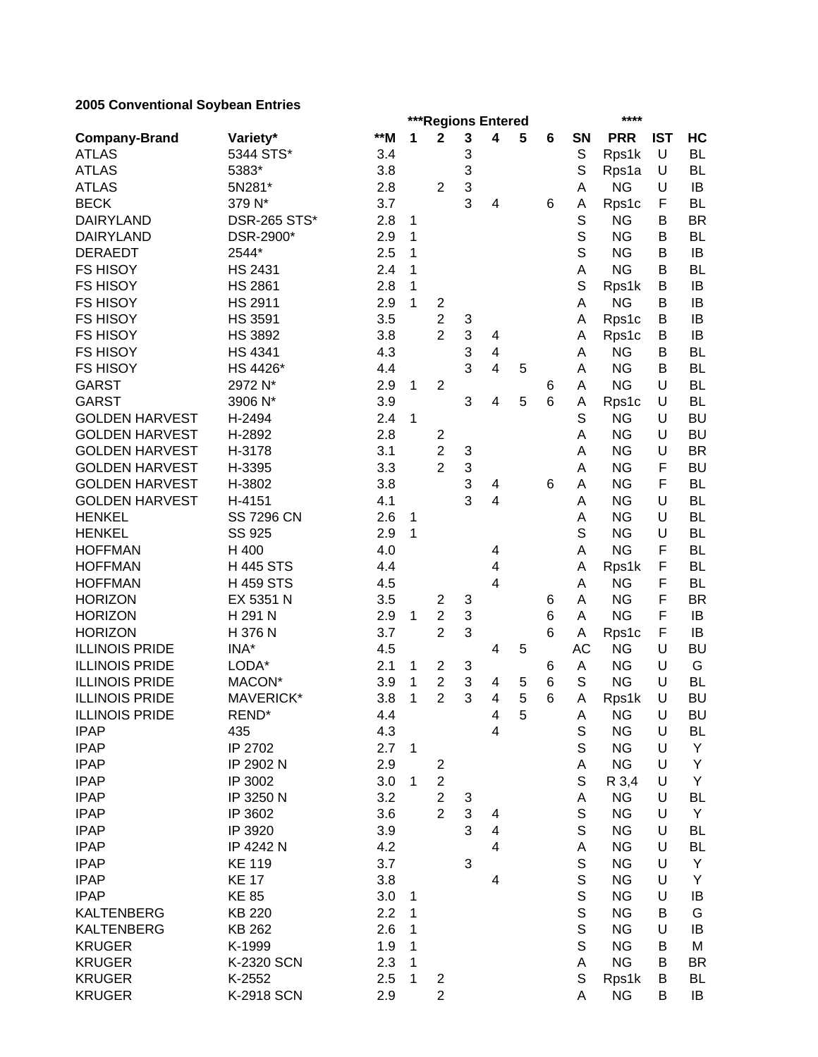# **2005 Conventional Soybean Entries**

|                       |                     |       |              | ***Regions Entered      |            |                         | **** |   |             |            |            |           |
|-----------------------|---------------------|-------|--------------|-------------------------|------------|-------------------------|------|---|-------------|------------|------------|-----------|
| <b>Company-Brand</b>  | Variety*            | $**M$ | 1            | $\mathbf 2$             | 3          | 4                       | 5    | 6 | <b>SN</b>   | <b>PRR</b> | <b>IST</b> | HC        |
| <b>ATLAS</b>          | 5344 STS*           | 3.4   |              |                         | 3          |                         |      |   | S           | Rps1k      | U          | <b>BL</b> |
| <b>ATLAS</b>          | 5383*               | 3.8   |              |                         | 3          |                         |      |   | S           | Rps1a      | U          | <b>BL</b> |
| <b>ATLAS</b>          | 5N281*              | 2.8   |              | $\overline{2}$          | 3          |                         |      |   | A           | <b>NG</b>  | U          | IB        |
| <b>BECK</b>           | 379 N*              | 3.7   |              |                         | 3          | 4                       |      | 6 | Α           | Rps1c      | F          | <b>BL</b> |
| <b>DAIRYLAND</b>      | <b>DSR-265 STS*</b> | 2.8   | 1            |                         |            |                         |      |   | S           | <b>NG</b>  | B          | <b>BR</b> |
| <b>DAIRYLAND</b>      | DSR-2900*           | 2.9   | 1            |                         |            |                         |      |   | S           | <b>NG</b>  | B          | <b>BL</b> |
| <b>DERAEDT</b>        | 2544*               | 2.5   | 1            |                         |            |                         |      |   | S           | <b>NG</b>  | B          | IB        |
| <b>FS HISOY</b>       | <b>HS 2431</b>      | 2.4   | 1            |                         |            |                         |      |   | A           | <b>NG</b>  | B          | <b>BL</b> |
| <b>FS HISOY</b>       | <b>HS 2861</b>      | 2.8   | 1            |                         |            |                         |      |   | S           | Rps1k      | B          | IB        |
| <b>FS HISOY</b>       | <b>HS 2911</b>      | 2.9   | 1            | $\overline{\mathbf{c}}$ |            |                         |      |   | Α           | <b>NG</b>  | B          | IB        |
| <b>FS HISOY</b>       | <b>HS 3591</b>      | 3.5   |              | $\overline{c}$          | 3          |                         |      |   | Α           | Rps1c      | B          | IB        |
| <b>FS HISOY</b>       | <b>HS 3892</b>      | 3.8   |              | $\overline{2}$          | 3          | 4                       |      |   | Α           | Rps1c      | Β          | IB        |
| <b>FS HISOY</b>       | <b>HS 4341</b>      | 4.3   |              |                         | 3          | 4                       |      |   | А           | <b>NG</b>  | Β          | <b>BL</b> |
| <b>FS HISOY</b>       | HS 4426*            | 4.4   |              |                         | 3          | 4                       | 5    |   | Α           | <b>NG</b>  | Β          | <b>BL</b> |
| <b>GARST</b>          | 2972 N*             | 2.9   | 1            | $\overline{2}$          |            |                         |      | 6 | A           | <b>NG</b>  | U          | <b>BL</b> |
| <b>GARST</b>          | 3906 N*             | 3.9   |              |                         | 3          | 4                       | 5    | 6 | A           | Rps1c      | U          | <b>BL</b> |
| <b>GOLDEN HARVEST</b> | H-2494              | 2.4   | 1            |                         |            |                         |      |   | S           | <b>NG</b>  | U          | <b>BU</b> |
| <b>GOLDEN HARVEST</b> | H-2892              | 2.8   |              | $\overline{\mathbf{c}}$ |            |                         |      |   | Α           | <b>NG</b>  | U          | <b>BU</b> |
| <b>GOLDEN HARVEST</b> | H-3178              | 3.1   |              | $\overline{2}$          | 3          |                         |      |   | Α           | <b>NG</b>  | U          | <b>BR</b> |
| <b>GOLDEN HARVEST</b> | H-3395              | 3.3   |              | $\overline{2}$          | 3          |                         |      |   | A           | <b>NG</b>  | F          | <b>BU</b> |
| <b>GOLDEN HARVEST</b> | H-3802              | 3.8   |              |                         | 3          | 4                       |      | 6 | Α           | <b>NG</b>  | F          | <b>BL</b> |
| <b>GOLDEN HARVEST</b> | H-4151              | 4.1   |              |                         | 3          | 4                       |      |   | Α           | <b>NG</b>  | U          | <b>BL</b> |
| <b>HENKEL</b>         | <b>SS 7296 CN</b>   | 2.6   | 1            |                         |            |                         |      |   | Α           | <b>NG</b>  | U          | <b>BL</b> |
| <b>HENKEL</b>         | SS 925              | 2.9   | 1            |                         |            |                         |      |   | S           | <b>NG</b>  | U          | <b>BL</b> |
| <b>HOFFMAN</b>        | H 400               | 4.0   |              |                         |            | 4                       |      |   | А           | <b>NG</b>  | F          | <b>BL</b> |
| <b>HOFFMAN</b>        | <b>H445 STS</b>     | 4.4   |              |                         |            | 4                       |      |   | Α           | Rps1k      | F          | <b>BL</b> |
| <b>HOFFMAN</b>        | <b>H459 STS</b>     | 4.5   |              |                         |            | 4                       |      |   | Α           | <b>NG</b>  | F          | <b>BL</b> |
| <b>HORIZON</b>        | EX 5351 N           | 3.5   |              | $\overline{c}$          | 3          |                         |      | 6 | Α           | <b>NG</b>  | F          | <b>BR</b> |
| <b>HORIZON</b>        | H 291 N             | 2.9   | 1            | $\overline{c}$          | 3          |                         |      | 6 | Α           | <b>NG</b>  | F          | IB        |
| <b>HORIZON</b>        | H 376 N             | 3.7   |              | $\overline{2}$          | 3          |                         |      | 6 | Α           | Rps1c      | F          | IB        |
| <b>ILLINOIS PRIDE</b> | INA*                | 4.5   |              |                         |            | 4                       | 5    |   | <b>AC</b>   | <b>NG</b>  | U          | <b>BU</b> |
| <b>ILLINOIS PRIDE</b> | LODA*               | 2.1   | 1            | $\overline{c}$          | 3          |                         |      | 6 | A           | <b>NG</b>  | U          | G         |
| <b>ILLINOIS PRIDE</b> | MACON*              | 3.9   | 1            | $\overline{2}$          | 3          | 4                       | 5    | 6 | S           | <b>NG</b>  | U          | <b>BL</b> |
| <b>ILLINOIS PRIDE</b> | MAVERICK*           | 3.8   | 1            | $\overline{2}$          | 3          | 4                       | 5    | 6 | Α           | Rps1k      | U          | <b>BU</b> |
| <b>ILLINOIS PRIDE</b> | REND*               | 4.4   |              |                         |            | 4                       | 5    |   | A           | <b>NG</b>  | U          | <b>BU</b> |
| <b>IPAP</b>           | 435                 | 4.3   |              |                         |            | $\overline{\mathbf{4}}$ |      |   | S           | <b>NG</b>  | U          | <b>BL</b> |
| <b>IPAP</b>           | IP 2702             | 2.7   | $\mathbf{1}$ |                         |            |                         |      |   | S           | <b>NG</b>  | U          | Y         |
| <b>IPAP</b>           | IP 2902 N           | 2.9   |              | $\overline{c}$          |            |                         |      |   | А           | <b>NG</b>  | U          | Y         |
| <b>IPAP</b>           | IP 3002             | 3.0   | 1            | $\overline{c}$          |            |                         |      |   | S           | R 3,4      | U          | Y         |
| <b>IPAP</b>           | IP 3250 N           | 3.2   |              | $\overline{2}$          | 3          |                         |      |   | Α           | <b>NG</b>  | U          | <b>BL</b> |
| <b>IPAP</b>           | IP 3602             | 3.6   |              | $\overline{2}$          | $\sqrt{3}$ | 4                       |      |   | S           | <b>NG</b>  | U          | Y         |
| <b>IPAP</b>           | IP 3920             | 3.9   |              |                         | 3          | 4                       |      |   | S           | <b>NG</b>  | U          | <b>BL</b> |
| <b>IPAP</b>           | IP 4242 N           | 4.2   |              |                         |            | 4                       |      |   | Α           | <b>NG</b>  | U          | <b>BL</b> |
| <b>IPAP</b>           | <b>KE 119</b>       | 3.7   |              |                         | 3          |                         |      |   | $\mathbb S$ | <b>NG</b>  | U          | Y         |
| <b>IPAP</b>           | <b>KE 17</b>        | 3.8   |              |                         |            | 4                       |      |   | S           | <b>NG</b>  | U          | Y         |
| <b>IPAP</b>           | <b>KE 85</b>        | 3.0   | 1            |                         |            |                         |      |   | S           | <b>NG</b>  | U          | IB        |
| <b>KALTENBERG</b>     | <b>KB 220</b>       | 2.2   | 1            |                         |            |                         |      |   | S           | <b>NG</b>  | в          | G         |
| <b>KALTENBERG</b>     | KB 262              | 2.6   | 1            |                         |            |                         |      |   | S           | <b>NG</b>  | U          | IB        |
| <b>KRUGER</b>         | K-1999              | 1.9   | 1            |                         |            |                         |      |   | S           | <b>NG</b>  | в          | M         |
| <b>KRUGER</b>         | K-2320 SCN          | 2.3   | 1            |                         |            |                         |      |   | А           | <b>NG</b>  | в          | <b>BR</b> |
| <b>KRUGER</b>         | K-2552              | 2.5   | 1            | 2                       |            |                         |      |   | S           | Rps1k      | в          | <b>BL</b> |
| <b>KRUGER</b>         | K-2918 SCN          | 2.9   |              | $\overline{c}$          |            |                         |      |   | А           | <b>NG</b>  | B          | IB        |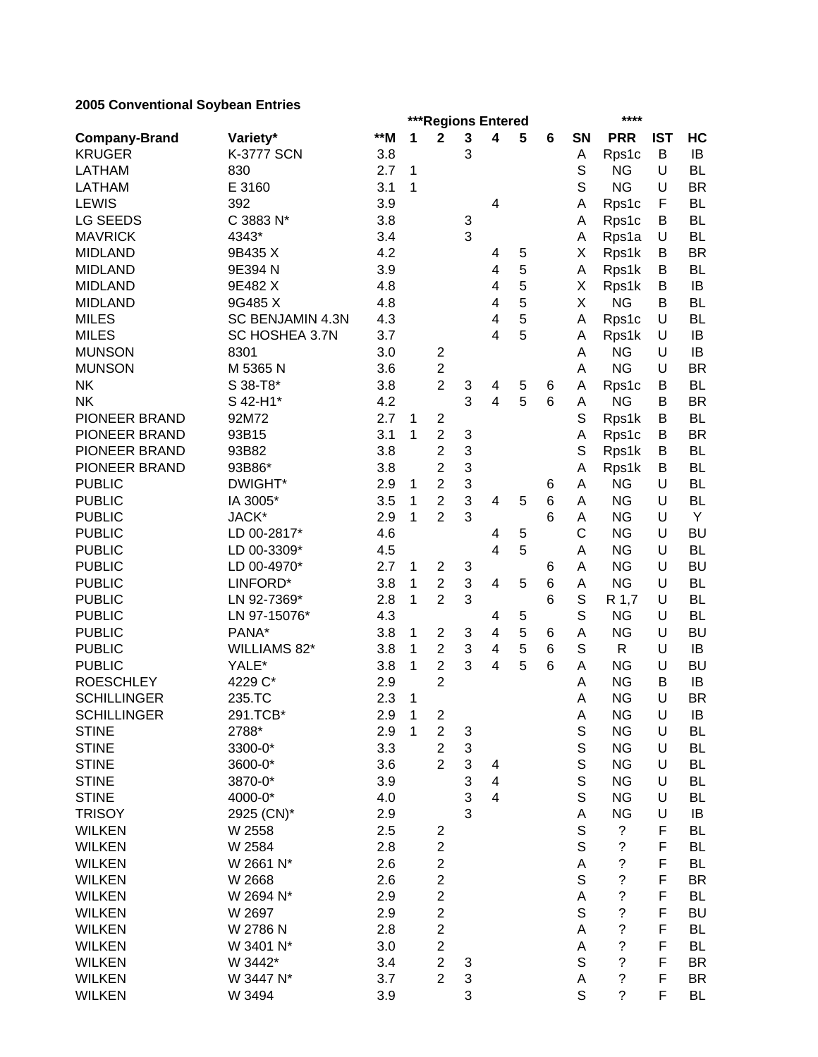# **2005 Conventional Soybean Entries**

|                      |                   |       |              | ***Regions Entered      |                           |                |   |                |             |                          | ****       |           |  |
|----------------------|-------------------|-------|--------------|-------------------------|---------------------------|----------------|---|----------------|-------------|--------------------------|------------|-----------|--|
| <b>Company-Brand</b> | Variety*          | $**M$ | 1            | $\mathbf 2$             | $\mathbf{3}$              | 4              | 5 | $6\phantom{1}$ | SN          | <b>PRR</b>               | <b>IST</b> | HC        |  |
| <b>KRUGER</b>        | <b>K-3777 SCN</b> | 3.8   |              |                         | 3                         |                |   |                | A           | Rps1c                    | В          | IB        |  |
| LATHAM               | 830               | 2.7   | 1            |                         |                           |                |   |                | S           | <b>NG</b>                | U          | <b>BL</b> |  |
| <b>LATHAM</b>        | E 3160            | 3.1   | 1            |                         |                           |                |   |                | S           | <b>NG</b>                | U          | <b>BR</b> |  |
| <b>LEWIS</b>         | 392               | 3.9   |              |                         |                           | 4              |   |                | A           | Rps1c                    | F          | <b>BL</b> |  |
| <b>LG SEEDS</b>      | C 3883 N*         | 3.8   |              |                         | 3                         |                |   |                | A           | Rps1c                    | В          | <b>BL</b> |  |
| <b>MAVRICK</b>       | 4343*             | 3.4   |              |                         | 3                         |                |   |                | A           | Rps1a                    | U          | <b>BL</b> |  |
| <b>MIDLAND</b>       | 9B435 X           | 4.2   |              |                         |                           | 4              | 5 |                | Χ           | Rps1k                    | В          | <b>BR</b> |  |
| <b>MIDLAND</b>       | 9E394 N           | 3.9   |              |                         |                           | 4              | 5 |                | A           | Rps1k                    | В          | <b>BL</b> |  |
| <b>MIDLAND</b>       | 9E482 X           | 4.8   |              |                         |                           | 4              | 5 |                | Χ           | Rps1k                    | В          | IB        |  |
| <b>MIDLAND</b>       | 9G485 X           | 4.8   |              |                         |                           | 4              | 5 |                | X           | <b>NG</b>                | B          | <b>BL</b> |  |
| <b>MILES</b>         | SC BENJAMIN 4.3N  | 4.3   |              |                         |                           | 4              | 5 |                | A           | Rps1c                    | U          | <b>BL</b> |  |
| <b>MILES</b>         | SC HOSHEA 3.7N    | 3.7   |              |                         |                           | 4              | 5 |                | A           | Rps1k                    | U          | IB        |  |
| <b>MUNSON</b>        | 8301              | 3.0   |              | $\overline{2}$          |                           |                |   |                | Α           | <b>NG</b>                | U          | IB        |  |
| <b>MUNSON</b>        | M 5365 N          | 3.6   |              | $\overline{2}$          |                           |                |   |                | Α           | <b>NG</b>                | U          | <b>BR</b> |  |
| <b>NK</b>            | S 38-T8*          | 3.8   |              | $\overline{2}$          | 3                         | 4              | 5 | 6              | A           | Rps1c                    | В          | <b>BL</b> |  |
| <b>NK</b>            | S 42-H1*          | 4.2   |              |                         | 3                         | 4              | 5 | 6              | A           | <b>NG</b>                | B          | <b>BR</b> |  |
| PIONEER BRAND        | 92M72             | 2.7   | 1            | $\overline{2}$          |                           |                |   |                | S           | Rps1k                    | B          | <b>BL</b> |  |
| PIONEER BRAND        | 93B15             | 3.1   | 1            | $\overline{2}$          | 3                         |                |   |                | A           | Rps1c                    | B          | <b>BR</b> |  |
| PIONEER BRAND        | 93B82             | 3.8   |              | $\overline{2}$          | 3                         |                |   |                | S           | Rps1k                    | B          | <b>BL</b> |  |
| PIONEER BRAND        | 93B86*            | 3.8   |              | $\overline{2}$          | 3                         |                |   |                | A           | Rps1k                    | B          | <b>BL</b> |  |
| <b>PUBLIC</b>        | DWIGHT*           | 2.9   | 1            | $\overline{c}$          | 3                         |                |   | 6              | A           | <b>NG</b>                | U          | <b>BL</b> |  |
| <b>PUBLIC</b>        | IA 3005*          | 3.5   | 1            | $\overline{2}$          | 3                         | 4              | 5 | 6              | Α           | <b>NG</b>                | U          | <b>BL</b> |  |
| <b>PUBLIC</b>        | JACK*             | 2.9   | 1            | $\overline{2}$          | 3                         |                |   | 6              | A           | <b>NG</b>                | U          | Y         |  |
| <b>PUBLIC</b>        | LD 00-2817*       | 4.6   |              |                         |                           | 4              | 5 |                | C           | <b>NG</b>                | U          | <b>BU</b> |  |
| <b>PUBLIC</b>        | LD 00-3309*       | 4.5   |              |                         |                           | 4              | 5 |                | A           | <b>NG</b>                | U          | <b>BL</b> |  |
| <b>PUBLIC</b>        | LD 00-4970*       | 2.7   | 1            | 2                       | 3                         |                |   | 6              | A           | <b>NG</b>                | U          | <b>BU</b> |  |
| <b>PUBLIC</b>        | LINFORD*          | 3.8   | 1            | $\overline{c}$          | $\sqrt{3}$                | $\overline{4}$ | 5 | 6              | A           | <b>NG</b>                | U          | <b>BL</b> |  |
| <b>PUBLIC</b>        | LN 92-7369*       | 2.8   | 1            | $\overline{2}$          | 3                         |                |   | 6              | S           | R 1,7                    | U          | <b>BL</b> |  |
| <b>PUBLIC</b>        | LN 97-15076*      | 4.3   |              |                         |                           | 4              | 5 |                | S           | <b>NG</b>                | U          | <b>BL</b> |  |
| <b>PUBLIC</b>        | PANA*             | 3.8   | 1            | 2                       | 3                         | 4              | 5 | 6              | A           | <b>NG</b>                | U          | BU        |  |
| <b>PUBLIC</b>        | WILLIAMS 82*      | 3.8   | 1            | $\overline{2}$          | 3                         | 4              | 5 | 6              | S           | $\mathsf{R}$             | U          | IB        |  |
| <b>PUBLIC</b>        | YALE*             | 3.8   | 1            | $\overline{2}$          | 3                         | 4              | 5 | 6              | A           | <b>NG</b>                | U          | <b>BU</b> |  |
| <b>ROESCHLEY</b>     | 4229 C*           | 2.9   |              | $\overline{2}$          |                           |                |   |                | A           | <b>NG</b>                | В          | IB        |  |
| <b>SCHILLINGER</b>   | 235.TC            | 2.3   | 1            |                         |                           |                |   |                | Α           | <b>NG</b>                | U          | <b>BR</b> |  |
| <b>SCHILLINGER</b>   | 291.TCB*          | 2.9   | $\mathbf{1}$ | $\overline{\mathbf{c}}$ |                           |                |   |                | A           | <b>NG</b>                | U          | IB        |  |
| <b>STINE</b>         | 2788*             | 2.9   | 1            | $\overline{c}$          | 3                         |                |   |                | S           | <b>NG</b>                | U          | BL        |  |
| <b>STINE</b>         | 3300-0*           | 3.3   |              | $\overline{c}$          | $\ensuremath{\mathsf{3}}$ |                |   |                | $\mathbb S$ | <b>NG</b>                | U          | <b>BL</b> |  |
| <b>STINE</b>         | 3600-0*           | 3.6   |              | $\overline{2}$          | $\ensuremath{\mathsf{3}}$ | 4              |   |                | $\mathbb S$ | <b>NG</b>                | U          | <b>BL</b> |  |
| <b>STINE</b>         | 3870-0*           | 3.9   |              |                         | $\ensuremath{\mathsf{3}}$ | 4              |   |                | $\mathbb S$ | <b>NG</b>                | U          | <b>BL</b> |  |
| <b>STINE</b>         | 4000-0*           | 4.0   |              |                         | 3                         | 4              |   |                | S           | <b>NG</b>                | U          | BL        |  |
| <b>TRISOY</b>        | 2925 (CN)*        | 2.9   |              |                         | 3                         |                |   |                | А           | <b>NG</b>                | U          | IB        |  |
| <b>WILKEN</b>        | W 2558            | 2.5   |              | 2                       |                           |                |   |                | $\mathbb S$ | $\tilde{?}$              | F          | <b>BL</b> |  |
| <b>WILKEN</b>        | W 2584            | 2.8   |              | $\overline{c}$          |                           |                |   |                | $\mathsf S$ | $\overline{\cdot}$       | F          | <b>BL</b> |  |
| <b>WILKEN</b>        | W 2661 N*         | 2.6   |              | $\overline{2}$          |                           |                |   |                | A           | $\overline{\mathcal{C}}$ | F          | BL        |  |
| <b>WILKEN</b>        | W 2668            | 2.6   |              | $\overline{2}$          |                           |                |   |                | $\mathbb S$ | $\overline{\cdot}$       | F          | <b>BR</b> |  |
| <b>WILKEN</b>        | W 2694 N*         | 2.9   |              | $\overline{2}$          |                           |                |   |                | A           | $\overline{\cdot}$       | F          | <b>BL</b> |  |
| <b>WILKEN</b>        | W 2697            | 2.9   |              | $\overline{2}$          |                           |                |   |                | $\mathbb S$ | $\tilde{?}$              | F          | <b>BU</b> |  |
| <b>WILKEN</b>        | W 2786 N          | 2.8   |              | $\overline{2}$          |                           |                |   |                | Α           | $\tilde{?}$              | F          | <b>BL</b> |  |
| <b>WILKEN</b>        | W 3401 N*         | 3.0   |              | $\overline{c}$          |                           |                |   |                | А           | $\cdot$                  | F          | BL        |  |
| <b>WILKEN</b>        | W 3442*           | 3.4   |              | $\overline{c}$          | 3                         |                |   |                | $\mathsf S$ | $\overline{\mathcal{C}}$ | F          | BR        |  |
| <b>WILKEN</b>        | W 3447 N*         | 3.7   |              | $\overline{2}$          | $\ensuremath{\mathsf{3}}$ |                |   |                | А           | $\tilde{?}$              | F          | BR        |  |
| <b>WILKEN</b>        | W 3494            | 3.9   |              |                         | 3                         |                |   |                | $\mathbf S$ | $\tilde{?}$              | F          | BL        |  |